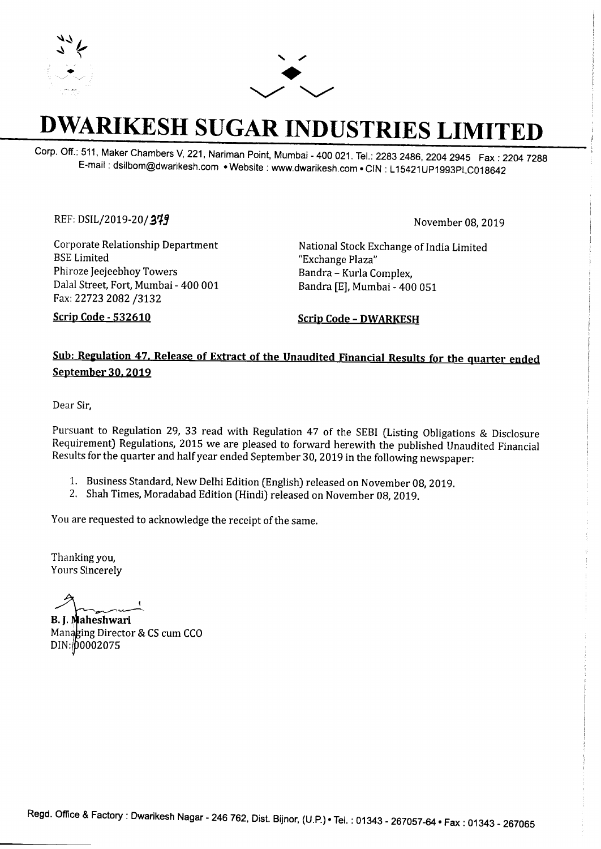



## **DWARIKESH SUGAR INDUSTRIES LIMITED**

Corp. Off.: 511, Maker Chambers V, 221, Nariman Point, Mumbai - 400 021. Tel.: 2283 2486, 2204 2945 Fax: 2204 7288 E-mail : dsilbom@dwarikesh.com • Website : www.dwarikesh.com • CIN : L 15421UP1993PLC018642

REF: DSIL/2019-20/**379** *ZIP zystems <i>ZOMPONMLKIHGFEDSIL/2019-20/379 November 08, 2019* 

Corporate Relationship Department BSE Limited Phiroze Jeejeebhoy Towers Dalal Street, Fort, Mumbai - 400 001 Fax: 22723 2082 /3132

National Stock Exchange of India Limited "Exchange Plaza" Bandra - Kurla Complex, Bandra [E], Mumbai - 400 051

Scrip Code - 532610

Scrip Code - DWARKESH

## Sub: Regulation 47, Release of Extract of the Unaudited Financial Results for the quarter ended September 30, 2019

Dear Sir,

Pursuant to Regulation 29, 33 read with Regulation 47 of the SEBI (Listing Obligations & Disclosure Requirement) Regulations, 2015 we are pleased to forward herewith the published Unaudited Financial Results for the quarter and half year ended September 30, 2019 in the following newspaper:

- 1. Business Standard, New Delhi Edition (English) released on November 08, 2019.
- 2. Shah Times, Moradabad Edition (Hindi) released on November 08, 2019.

You are requested to acknowledge the receipt of the same.

Thanking you, Yours Sincerely

 $\overline{\phantom{a}}$ 

B. J. Maheshwari Managing Director & CS cum CCO DIN: 00002075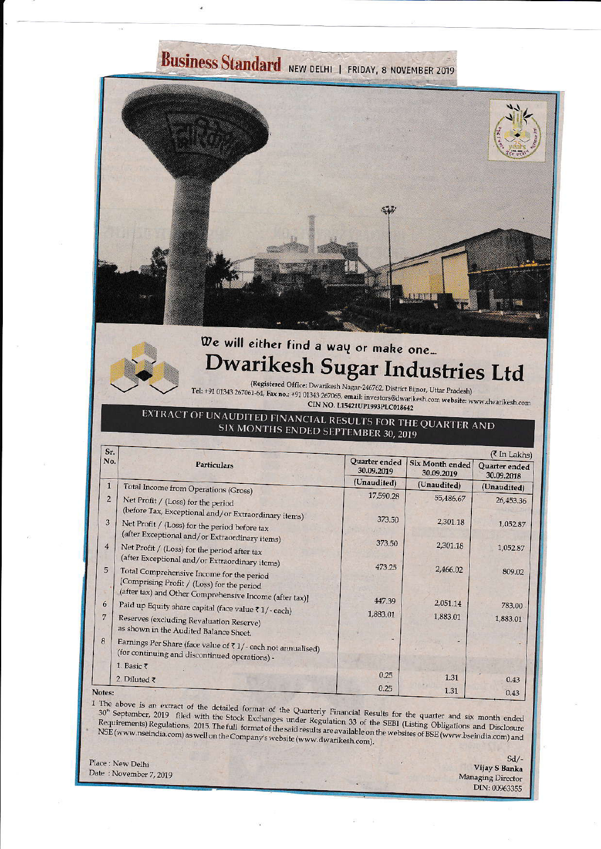# Business Standard NEW DELHI | FRIDAY, 8 NOVEMBER 2019



## We will either find a way or make one... Dwarikesh Sugar Industries Ltd

(Registered Office: Dwarikesh Nagar-246762, District Bijnor, Uttar Pradesh) Tel: +91 01343 267061-64, Fax no.: +91 01343 267065, email: investors@dwarikesh.com website: www.dwarikesh.com CIN NO. L15421UP1993PLC018642

EXTRACT OF UNAUDITED FINANCIAL RESULTS FOR THE QUARTER AND SIX MONTHS ENDED SEPTEMBER 30, 2019

| Sr.            |                                                                     | (₹ In Lakhs)                |                                      |                             |  |
|----------------|---------------------------------------------------------------------|-----------------------------|--------------------------------------|-----------------------------|--|
| No.            | <b>Particulars</b>                                                  | Quarter ended<br>30.09.2019 | <b>Six Month ended</b><br>30.09.2019 | Quarter ended<br>30.09.2018 |  |
| $\mathbf{1}$   |                                                                     | (Unaudited)                 | (Unaudited)                          | (Unaudited)                 |  |
|                | Total Income from Operations (Gross)                                | 17,590.28                   |                                      |                             |  |
| $\overline{2}$ | Net Profit / (Loss) for the period                                  |                             | 55,486.67                            | 26,453.36                   |  |
|                | (before Tax, Exceptional and/or Extraordinary items)                |                             |                                      |                             |  |
| 3              | Net Profit / (Loss) for the period before tax                       | 373.50                      | 2,301.18                             | 1,052.87                    |  |
|                | (after Exceptional and/or Extraordinary items)                      |                             |                                      |                             |  |
| $\overline{4}$ | Net Profit / (Loss) for the period after tax                        | 373.50                      | 2,301.18                             | 1,052.87                    |  |
|                | (after Exceptional and/or Extraordinary items)                      |                             |                                      |                             |  |
| 5              |                                                                     | 473.25                      | 2,466.02                             | 809.02                      |  |
|                | Total Comprehensive Income for the period                           |                             |                                      |                             |  |
|                | [Comprising Profit / (Loss) for the period                          |                             |                                      |                             |  |
| 6              | (after tax) and Other Comprehensive Income (after tax)]             | 447.39                      | 2,051.14                             |                             |  |
|                | Paid up Equity share capital (face value ₹1/-each)                  | 1,883.01                    |                                      | 783.00                      |  |
| 7              | Reserves (excluding Revaluation Reserve)                            |                             | 1,883.01                             | 1,883.01                    |  |
|                | as shown in the Audited Balance Sheet.                              |                             |                                      |                             |  |
| 8              | Earnings Per Share (face value of $\bar{x}$ 1/-each not annualised) |                             |                                      |                             |  |
|                | (for continuing and discontinued operations) -                      |                             |                                      |                             |  |
|                | 1. Basic ₹                                                          |                             |                                      |                             |  |
|                | 2. Diluted $\bar{\tau}$                                             | 0.25                        | 1.31                                 | 0.43                        |  |
|                |                                                                     | 0.25                        | 1.31                                 |                             |  |
| Votes:         |                                                                     |                             |                                      | 0.43                        |  |

1 The above is an extract of the detailed format of the Quarterly Financial Results for the quarter and six month ended 30<sup>th</sup> September, 2019 filed with the Stock Exchanges under Regulation 33 of the SEBI (Listing Obligations and Disclosure Requirements) Regulations, 2015. The full format of the said results are available on the websites of BSE (www.bseindia.com) and NSE (www.nseindia.com) as well on the Company's website (www.dwarikesh.com).

Place : New Delhi Date: November 7, 2019

 $Sd/-$ Vijay S Banka **Managing Director** DIN: 00963355